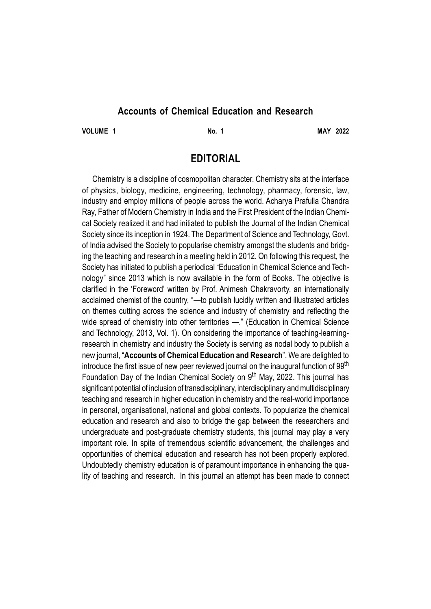## **Accounts of Chemical Education and Research**

**VOLUME 1 No. 1 MAY 2022**

## **EDITORIAL**

Chemistry is a discipline of cosmopolitan character. Chemistry sits at the interface of physics, biology, medicine, engineering, technology, pharmacy, forensic, law, industry and employ millions of people across the world. Acharya Prafulla Chandra Ray, Father of Modern Chemistry in India and the First President of the Indian Chemical Society realized it and had initiated to publish the Journal of the Indian Chemical Society since its inception in 1924. The Department of Science and Technology, Govt. of India advised the Society to popularise chemistry amongst the students and bridging the teaching and research in a meeting held in 2012. On following this request, the Society has initiated to publish a periodical "Education in Chemical Science and Technology" since 2013 which is now available in the form of Books. The objective is clarified in the 'Foreword' written by Prof. Animesh Chakravorty, an internationally acclaimed chemist of the country, "—to publish lucidly written and illustrated articles on themes cutting across the science and industry of chemistry and reflecting the wide spread of chemistry into other territories —." (Education in Chemical Science and Technology, 2013, Vol. 1). On considering the importance of teaching-learningresearch in chemistry and industry the Society is serving as nodal body to publish a new journal, "**Accounts of Chemical Education and Research**". We are delighted to introduce the first issue of new peer reviewed journal on the inaugural function of 99<sup>th</sup> Foundation Day of the Indian Chemical Society on 9<sup>th</sup> May, 2022. This journal has significant potential of inclusion of transdisciplinary, interdisciplinary and multidisciplinary teaching and research in higher education in chemistry and the real-world importance in personal, organisational, national and global contexts. To popularize the chemical education and research and also to bridge the gap between the researchers and undergraduate and post-graduate chemistry students, this journal may play a very important role. In spite of tremendous scientific advancement, the challenges and opportunities of chemical education and research has not been properly explored. Undoubtedly chemistry education is of paramount importance in enhancing the quality of teaching and research. In this journal an attempt has been made to connect